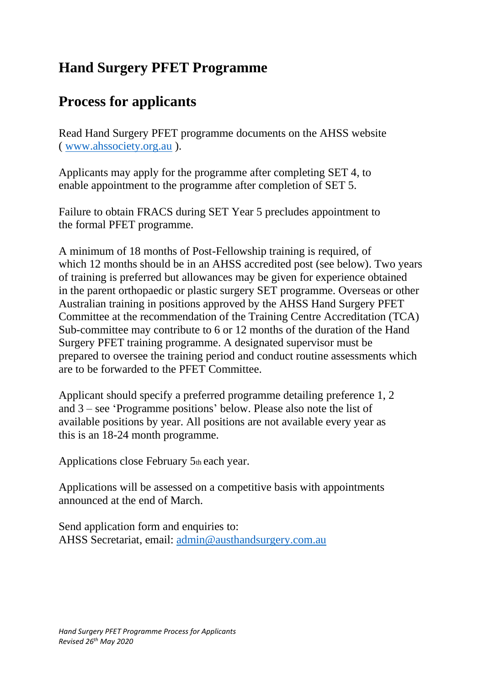## **Hand Surgery PFET Programme**

## **Process for applicants**

Read Hand Surgery PFET programme documents on the AHSS website ( [www.ahssociety.org.au](http://www.ahssociety.org.au/) ).

Applicants may apply for the programme after completing SET 4, to enable appointment to the programme after completion of SET 5.

Failure to obtain FRACS during SET Year 5 precludes appointment to the formal PFET programme.

A minimum of 18 months of Post-Fellowship training is required, of which 12 months should be in an AHSS accredited post (see below). Two years of training is preferred but allowances may be given for experience obtained in the parent orthopaedic or plastic surgery SET programme. Overseas or other Australian training in positions approved by the AHSS Hand Surgery PFET Committee at the recommendation of the Training Centre Accreditation (TCA) Sub-committee may contribute to 6 or 12 months of the duration of the Hand Surgery PFET training programme. A designated supervisor must be prepared to oversee the training period and conduct routine assessments which are to be forwarded to the PFET Committee.

Applicant should specify a preferred programme detailing preference 1, 2 and 3 – see 'Programme positions' below. Please also note the list of available positions by year. All positions are not available every year as this is an 18-24 month programme.

Applications close February 5th each year.

Applications will be assessed on a competitive basis with appointments announced at the end of March.

Send application form and enquiries to: AHSS Secretariat, email: [admin@austhandsurgery.com.au](mailto:admin@austhandsurgery.com.au)